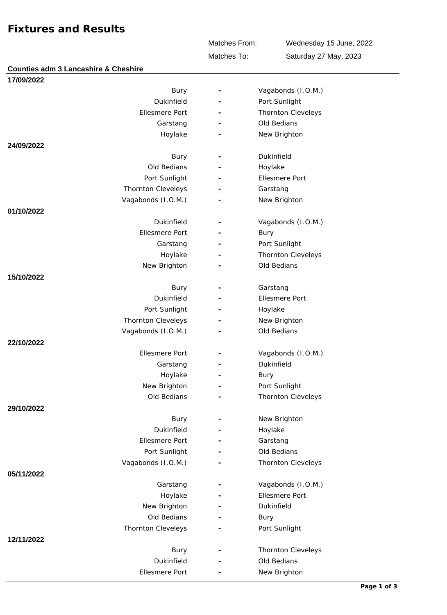## **Fixtures and Results**

Matches From:

Wednesday 15 June, 2022 Saturday 27 May, 2023

Matches To:

| <b>Counties adm 3 Lancashire &amp; Cheshire</b> |                          |                           |
|-------------------------------------------------|--------------------------|---------------------------|
| 17/09/2022                                      |                          |                           |
| Bury                                            | $\overline{\phantom{a}}$ | Vagabonds (I.O.M.)        |
| Dukinfield                                      |                          | Port Sunlight             |
| <b>Ellesmere Port</b>                           |                          | Thornton Cleveleys        |
| Garstang                                        |                          | Old Bedians               |
| Hoylake                                         |                          | New Brighton              |
| 24/09/2022                                      |                          |                           |
| Bury                                            |                          | Dukinfield                |
| Old Bedians                                     |                          | Hoylake                   |
| Port Sunlight                                   |                          | <b>Ellesmere Port</b>     |
| Thornton Cleveleys                              |                          | Garstang                  |
| Vagabonds (I.O.M.)                              |                          | New Brighton              |
| 01/10/2022                                      |                          |                           |
| Dukinfield                                      | $\overline{\phantom{a}}$ | Vagabonds (I.O.M.)        |
| <b>Ellesmere Port</b>                           |                          | Bury                      |
| Garstang                                        |                          | Port Sunlight             |
| Hoylake                                         |                          | Thornton Cleveleys        |
| New Brighton                                    |                          | Old Bedians               |
| 15/10/2022                                      |                          |                           |
| Bury                                            |                          | Garstang                  |
| Dukinfield                                      |                          | <b>Ellesmere Port</b>     |
| Port Sunlight                                   |                          | Hoylake                   |
| Thornton Cleveleys                              |                          | New Brighton              |
| Vagabonds (I.O.M.)                              |                          | Old Bedians               |
| 22/10/2022                                      |                          |                           |
| <b>Ellesmere Port</b>                           | $\overline{\phantom{a}}$ | Vagabonds (I.O.M.)        |
|                                                 |                          | Dukinfield                |
| Garstang                                        |                          |                           |
| Hoylake                                         |                          | <b>Bury</b>               |
| New Brighton                                    |                          | Port Sunlight             |
| Old Bedians                                     |                          | <b>Thornton Cleveleys</b> |
| 29/10/2022                                      |                          |                           |
| Bury                                            | $\overline{\phantom{a}}$ | New Brighton              |
| Dukinfield                                      |                          | Hoylake                   |
| Ellesmere Port                                  |                          | Garstang                  |
| Port Sunlight                                   |                          | Old Bedians               |
| Vagabonds (I.O.M.)                              |                          | <b>Thornton Cleveleys</b> |
| 05/11/2022                                      |                          |                           |
| Garstang                                        |                          | Vagabonds (I.O.M.)        |
| Hoylake                                         |                          | Ellesmere Port            |
| New Brighton                                    |                          | Dukinfield                |
| Old Bedians                                     |                          | Bury                      |
| Thornton Cleveleys                              |                          | Port Sunlight             |
| 12/11/2022                                      |                          |                           |
| Bury                                            |                          | Thornton Cleveleys        |
| Dukinfield                                      |                          | Old Bedians               |
| Ellesmere Port                                  |                          | New Brighton              |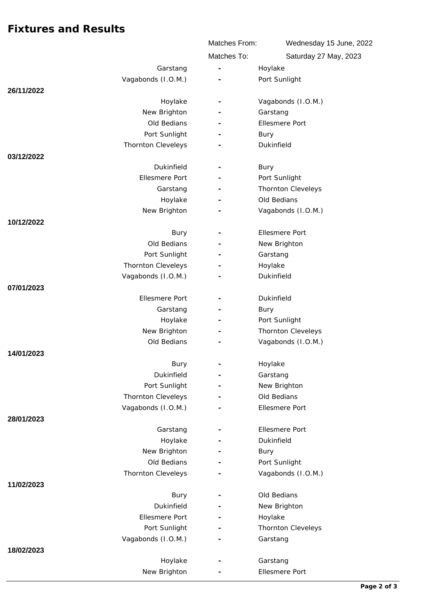## **Fixtures and Results**

|                                     | Matches From:            | Wednesday 15 June, 2022     |
|-------------------------------------|--------------------------|-----------------------------|
|                                     | Matches To:              | Saturday 27 May, 2023       |
| Garstang                            | $\bar{\phantom{a}}$      | Hoylake                     |
| Vagabonds (I.O.M.)                  |                          | Port Sunlight               |
| 26/11/2022                          |                          |                             |
| Hoylake                             | $\overline{\phantom{a}}$ | Vagabonds (I.O.M.)          |
| New Brighton                        |                          | Garstang                    |
| Old Bedians                         |                          | Ellesmere Port              |
| Port Sunlight                       |                          | Bury                        |
| Thornton Cleveleys                  |                          | Dukinfield                  |
| 03/12/2022                          |                          |                             |
| Dukinfield                          |                          | Bury                        |
| <b>Ellesmere Port</b>               |                          | Port Sunlight               |
| Garstang                            |                          | Thornton Cleveleys          |
| Hoylake                             |                          | Old Bedians                 |
| New Brighton                        |                          | Vagabonds (I.O.M.)          |
| 10/12/2022                          |                          |                             |
| Bury                                |                          | Ellesmere Port              |
| Old Bedians                         |                          | New Brighton                |
| Port Sunlight                       |                          | Garstang                    |
| Thornton Cleveleys                  |                          | Hoylake                     |
| Vagabonds (I.O.M.)                  |                          | Dukinfield                  |
| 07/01/2023                          |                          |                             |
| Ellesmere Port                      |                          | Dukinfield                  |
| Garstang                            |                          | Bury                        |
| Hoylake                             |                          | Port Sunlight               |
| New Brighton                        |                          | Thornton Cleveleys          |
| Old Bedians                         |                          | Vagabonds (I.O.M.)          |
| 14/01/2023                          |                          |                             |
| Bury                                |                          | Hoylake                     |
| Dukinfield                          | $\overline{\phantom{a}}$ | Garstang                    |
| Port Sunlight<br>Thornton Cleveleys |                          | New Brighton<br>Old Bedians |
| Vagabonds (I.O.M.)                  |                          | Ellesmere Port              |
| 28/01/2023                          |                          |                             |
| Garstang                            | $\overline{\phantom{a}}$ | Ellesmere Port              |
| Hoylake                             |                          | Dukinfield                  |
| New Brighton                        |                          | Bury                        |
| Old Bedians                         |                          | Port Sunlight               |
| Thornton Cleveleys                  |                          | Vagabonds (I.O.M.)          |
| 11/02/2023                          |                          |                             |
| Bury                                |                          | Old Bedians                 |
| Dukinfield                          |                          | New Brighton                |
| Ellesmere Port                      | $\overline{\phantom{a}}$ | Hoylake                     |
| Port Sunlight                       |                          | Thornton Cleveleys          |
| Vagabonds (I.O.M.)                  |                          | Garstang                    |
| 18/02/2023                          |                          |                             |
| Hoylake                             |                          | Garstang                    |
| New Brighton                        |                          | Ellesmere Port              |
|                                     |                          |                             |